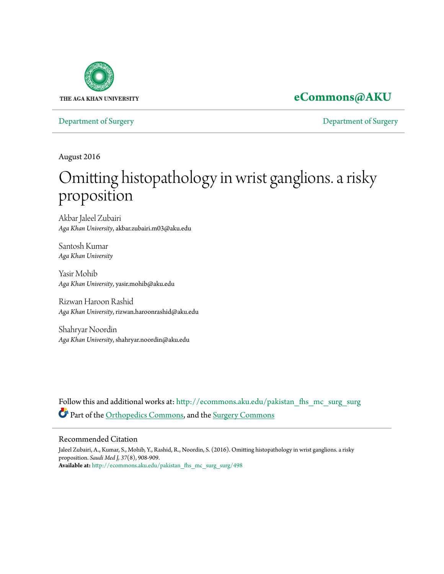

## **[eCommons@AKU](http://ecommons.aku.edu?utm_source=ecommons.aku.edu%2Fpakistan_fhs_mc_surg_surg%2F498&utm_medium=PDF&utm_campaign=PDFCoverPages)**

[Department of Surgery](http://ecommons.aku.edu/pakistan_fhs_mc_surg_surg?utm_source=ecommons.aku.edu%2Fpakistan_fhs_mc_surg_surg%2F498&utm_medium=PDF&utm_campaign=PDFCoverPages) [Department of Surgery](http://ecommons.aku.edu/pakistan_fhs_mc_surg?utm_source=ecommons.aku.edu%2Fpakistan_fhs_mc_surg_surg%2F498&utm_medium=PDF&utm_campaign=PDFCoverPages)

August 2016

# Omitting histopathology in wrist ganglions. a risky proposition

Akbar Jaleel Zubairi *Aga Khan University*, akbar.zubairi.m03@aku.edu

Santosh Kumar *Aga Khan University*

Yasir Mohib *Aga Khan University*, yasir.mohib@aku.edu

Rizwan Haroon Rashid *Aga Khan University*, rizwan.haroonrashid@aku.edu

Shahryar Noordin *Aga Khan University*, shahryar.noordin@aku.edu

Follow this and additional works at: [http://ecommons.aku.edu/pakistan\\_fhs\\_mc\\_surg\\_surg](http://ecommons.aku.edu/pakistan_fhs_mc_surg_surg?utm_source=ecommons.aku.edu%2Fpakistan_fhs_mc_surg_surg%2F498&utm_medium=PDF&utm_campaign=PDFCoverPages) Part of the [Orthopedics Commons](http://network.bepress.com/hgg/discipline/696?utm_source=ecommons.aku.edu%2Fpakistan_fhs_mc_surg_surg%2F498&utm_medium=PDF&utm_campaign=PDFCoverPages), and the [Surgery Commons](http://network.bepress.com/hgg/discipline/706?utm_source=ecommons.aku.edu%2Fpakistan_fhs_mc_surg_surg%2F498&utm_medium=PDF&utm_campaign=PDFCoverPages)

#### Recommended Citation

Jaleel Zubairi, A., Kumar, S., Mohib, Y., Rashid, R., Noordin, S. (2016). Omitting histopathology in wrist ganglions. a risky proposition. *Saudi Med J, 37*(8), 908-909. **Available at:** [http://ecommons.aku.edu/pakistan\\_fhs\\_mc\\_surg\\_surg/498](http://ecommons.aku.edu/pakistan_fhs_mc_surg_surg/498)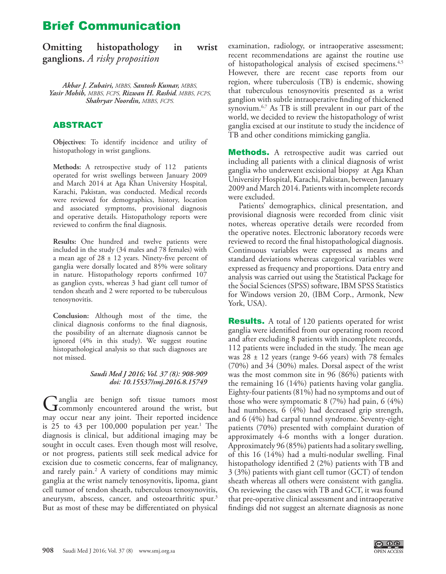## Brief Communication

| Omitting | histopathology                 | in | wrist |
|----------|--------------------------------|----|-------|
|          | ganglions. A risky proposition |    |       |

*Akbar J. Zubairi, MBBS, Santosh Kumar, MBBS, Yasir Mohib, MBBS, FCPS, Rizwan H. Rashid, MBBS, FCPS, Shahryar Noordin, MBBS, FCPS.* 

### ABSTRACT

**Objectives:** To identify incidence and utility of histopathology in wrist ganglions.

**Methods:** A retrospective study of 112 patients operated for wrist swellings between January 2009 and March 2014 at Aga Khan University Hospital, Karachi, Pakistan, was conducted. Medical records were reviewed for demographics, history, location and associated symptoms, provisional diagnosis and operative details. Histopathology reports were reviewed to confirm the final diagnosis.

**Results:** One hundred and twelve patients were included in the study (34 males and 78 females) with a mean age of  $28 \pm 12$  years. Ninety-five percent of ganglia were dorsally located and 85% were solitary in nature. Histopathology reports confirmed 107 as ganglion cysts, whereas 3 had giant cell tumor of tendon sheath and 2 were reported to be tuberculous tenosynovitis.

**Conclusion:** Although most of the time, the clinical diagnosis conforms to the final diagnosis, the possibility of an alternate diagnosis cannot be ignored (4% in this study). We suggest routine histopathological analysis so that such diagnoses are not missed.

#### *Saudi Med J 2016; Vol. 37 (8): 908-909 doi: 10.15537/smj.2016.8.15749*

Ganglia are benign soft tissue tumors most<br>commonly encountered around the wrist, but may occur near any joint. Their reported incidence is 25 to  $43$  per  $100,000$  $100,000$  population per year.<sup>1</sup> The diagnosis is clinical, but additional imaging may be sought in occult cases. Even though most will resolve, or not progress, patients still seek medical advice for excision due to cosmetic concerns, fear of malignancy, and rarely pain.<sup>2</sup> A variety of conditions may mimic ganglia at the wrist namely tenosynovitis, lipoma, giant cell tumor of tendon sheath, tuberculous tenosynovitis, aneurysm, abscess, cancer, and osteoarthritic spur.<sup>3</sup> But as most of these may be differentiated on physical

examination, radiology, or intraoperative assessment; recent recommendations are against the routine use of histopathological analysis of excised specimens.<sup>[4](#page-2-3),5</sup> However, there are recent case reports from our region, where tuberculosis (TB) is endemic, showing that tuberculous tenosynovitis presented as a wrist ganglion with subtle intraoperative finding of thickened synovium.<sup>[6](#page-2-5),7</sup> As TB is still prevalent in our part of the world, we decided to review the histopathology of wrist ganglia excised at our institute to study the incidence of TB and other conditions mimicking ganglia.

**Methods.** A retrospective audit was carried out including all patients with a clinical diagnosis of wrist ganglia who underwent excisional biopsy at Aga Khan University Hospital, Karachi, Pakistan, between January 2009 and March 2014. Patients with incomplete records were excluded.

Patients' demographics, clinical presentation, and provisional diagnosis were recorded from clinic visit notes, whereas operative details were recorded from the operative notes. Electronic laboratory records were reviewed to record the final histopathological diagnosis. Continuous variables were expressed as means and standard deviations whereas categorical variables were expressed as frequency and proportions. Data entry and analysis was carried out using the Statistical Package for the Social Sciences (SPSS) software, IBM SPSS Statistics for Windows version 20, (IBM Corp., Armonk, New York, USA).

**Results.** A total of 120 patients operated for wrist ganglia were identified from our operating room record and after excluding 8 patients with incomplete records, 112 patients were included in the study. The mean age was  $28 \pm 12$  years (range 9-66 years) with 78 females (70%) and 34 (30%) males. Dorsal aspect of the wrist was the most common site in 96 (86%) patients with the remaining 16 (14%) patients having volar ganglia. Eighty-four patients (81%) had no symptoms and out of those who were symptomatic 8 (7%) had pain, 6 (4%) had numbness, 6 (4%) had decreased grip strength, and 6 (4%) had carpal tunnel syndrome. Seventy-eight patients (70%) presented with complaint duration of approximately 4-6 months with a longer duration. Approximately 96 (85%) patients had a solitary swelling, of this 16 (14%) had a multi-nodular swelling. Final histopathology identified 2 (2%) patients with TB and 3 (3%) patients with giant cell tumor (GCT) of tendon sheath whereas all others were consistent with ganglia. On reviewing the cases with TB and GCT, it was found that pre-operative clinical assessment and intraoperative findings did not suggest an alternate diagnosis as none